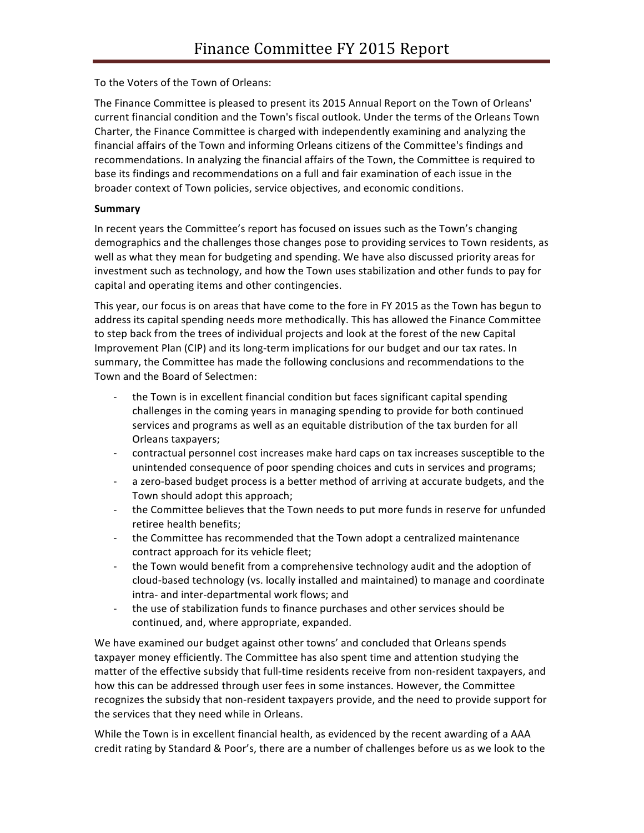To the Voters of the Town of Orleans:

The Finance Committee is pleased to present its 2015 Annual Report on the Town of Orleans' current financial condition and the Town's fiscal outlook. Under the terms of the Orleans Town Charter, the Finance Committee is charged with independently examining and analyzing the financial affairs of the Town and informing Orleans citizens of the Committee's findings and recommendations. In analyzing the financial affairs of the Town, the Committee is required to base its findings and recommendations on a full and fair examination of each issue in the broader context of Town policies, service objectives, and economic conditions.

# **Summary**

In recent years the Committee's report has focused on issues such as the Town's changing demographics and the challenges those changes pose to providing services to Town residents, as well as what they mean for budgeting and spending. We have also discussed priority areas for investment such as technology, and how the Town uses stabilization and other funds to pay for capital and operating items and other contingencies.

This year, our focus is on areas that have come to the fore in FY 2015 as the Town has begun to address its capital spending needs more methodically. This has allowed the Finance Committee to step back from the trees of individual projects and look at the forest of the new Capital Improvement Plan (CIP) and its long-term implications for our budget and our tax rates. In summary, the Committee has made the following conclusions and recommendations to the Town and the Board of Selectmen:

- the Town is in excellent financial condition but faces significant capital spending challenges in the coming years in managing spending to provide for both continued services and programs as well as an equitable distribution of the tax burden for all Orleans taxpayers;
- contractual personnel cost increases make hard caps on tax increases susceptible to the unintended consequence of poor spending choices and cuts in services and programs;
- a zero-based budget process is a better method of arriving at accurate budgets, and the Town should adopt this approach;
- the Committee believes that the Town needs to put more funds in reserve for unfunded retiree health benefits;
- the Committee has recommended that the Town adopt a centralized maintenance contract approach for its vehicle fleet;
- the Town would benefit from a comprehensive technology audit and the adoption of cloud-based technology (vs. locally installed and maintained) to manage and coordinate intra- and inter-departmental work flows; and
- the use of stabilization funds to finance purchases and other services should be continued, and, where appropriate, expanded.

We have examined our budget against other towns' and concluded that Orleans spends taxpayer money efficiently. The Committee has also spent time and attention studying the matter of the effective subsidy that full-time residents receive from non-resident taxpayers, and how this can be addressed through user fees in some instances. However, the Committee recognizes the subsidy that non-resident taxpayers provide, and the need to provide support for the services that they need while in Orleans.

While the Town is in excellent financial health, as evidenced by the recent awarding of a AAA credit rating by Standard & Poor's, there are a number of challenges before us as we look to the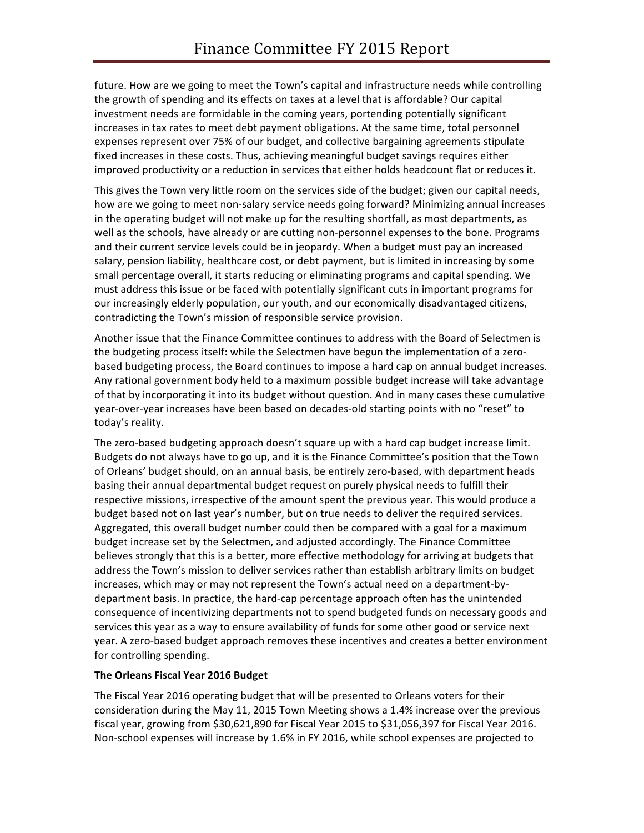future. How are we going to meet the Town's capital and infrastructure needs while controlling the growth of spending and its effects on taxes at a level that is affordable? Our capital investment needs are formidable in the coming years, portending potentially significant increases in tax rates to meet debt payment obligations. At the same time, total personnel expenses represent over 75% of our budget, and collective bargaining agreements stipulate fixed increases in these costs. Thus, achieving meaningful budget savings requires either improved productivity or a reduction in services that either holds headcount flat or reduces it.

This gives the Town very little room on the services side of the budget; given our capital needs, how are we going to meet non-salary service needs going forward? Minimizing annual increases in the operating budget will not make up for the resulting shortfall, as most departments, as well as the schools, have already or are cutting non-personnel expenses to the bone. Programs and their current service levels could be in jeopardy. When a budget must pay an increased salary, pension liability, healthcare cost, or debt payment, but is limited in increasing by some small percentage overall, it starts reducing or eliminating programs and capital spending. We must address this issue or be faced with potentially significant cuts in important programs for our increasingly elderly population, our youth, and our economically disadvantaged citizens, contradicting the Town's mission of responsible service provision.

Another issue that the Finance Committee continues to address with the Board of Selectmen is the budgeting process itself: while the Selectmen have begun the implementation of a zerobased budgeting process, the Board continues to impose a hard cap on annual budget increases. Any rational government body held to a maximum possible budget increase will take advantage of that by incorporating it into its budget without question. And in many cases these cumulative year-over-year increases have been based on decades-old starting points with no "reset" to today's reality.

The zero-based budgeting approach doesn't square up with a hard cap budget increase limit. Budgets do not always have to go up, and it is the Finance Committee's position that the Town of Orleans' budget should, on an annual basis, be entirely zero-based, with department heads basing their annual departmental budget request on purely physical needs to fulfill their respective missions, irrespective of the amount spent the previous year. This would produce a budget based not on last year's number, but on true needs to deliver the required services. Aggregated, this overall budget number could then be compared with a goal for a maximum budget increase set by the Selectmen, and adjusted accordingly. The Finance Committee believes strongly that this is a better, more effective methodology for arriving at budgets that address the Town's mission to deliver services rather than establish arbitrary limits on budget increases, which may or may not represent the Town's actual need on a department-bydepartment basis. In practice, the hard-cap percentage approach often has the unintended consequence of incentivizing departments not to spend budgeted funds on necessary goods and services this year as a way to ensure availability of funds for some other good or service next year. A zero-based budget approach removes these incentives and creates a better environment for controlling spending.

### **The Orleans Fiscal Year 2016 Budget**

The Fiscal Year 2016 operating budget that will be presented to Orleans voters for their consideration during the May 11, 2015 Town Meeting shows a 1.4% increase over the previous fiscal year, growing from \$30,621,890 for Fiscal Year 2015 to \$31,056,397 for Fiscal Year 2016. Non-school expenses will increase by 1.6% in FY 2016, while school expenses are projected to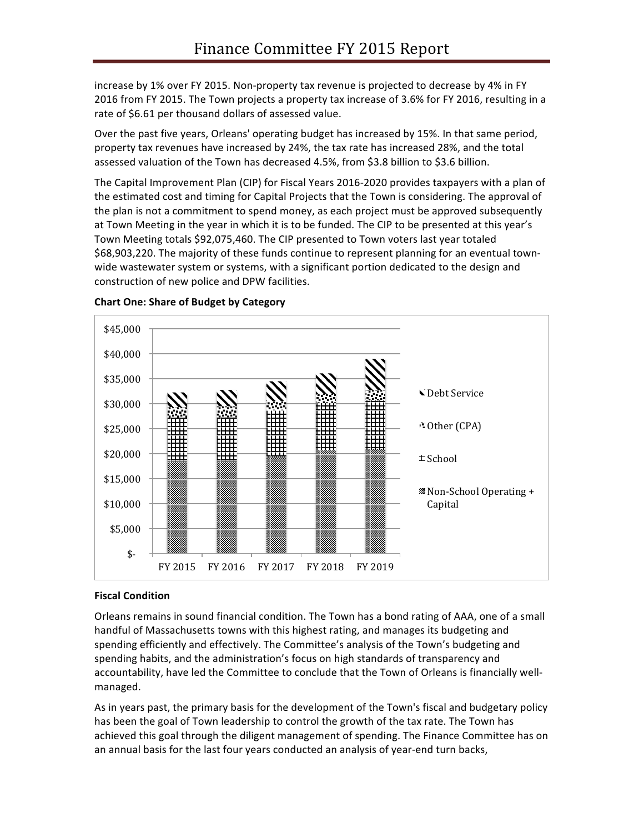increase by 1% over FY 2015. Non-property tax revenue is projected to decrease by 4% in FY 2016 from FY 2015. The Town projects a property tax increase of 3.6% for FY 2016, resulting in a rate of \$6.61 per thousand dollars of assessed value.

Over the past five years, Orleans' operating budget has increased by 15%. In that same period, property tax revenues have increased by 24%, the tax rate has increased 28%, and the total assessed valuation of the Town has decreased 4.5%, from \$3.8 billion to \$3.6 billion.

The Capital Improvement Plan (CIP) for Fiscal Years 2016-2020 provides taxpayers with a plan of the estimated cost and timing for Capital Projects that the Town is considering. The approval of the plan is not a commitment to spend money, as each project must be approved subsequently at Town Meeting in the year in which it is to be funded. The CIP to be presented at this year's Town Meeting totals \$92,075,460. The CIP presented to Town voters last year totaled \$68,903,220. The majority of these funds continue to represent planning for an eventual townwide wastewater system or systems, with a significant portion dedicated to the design and construction of new police and DPW facilities.



### **Chart One: Share of Budget by Category**

### **Fiscal Condition**

Orleans remains in sound financial condition. The Town has a bond rating of AAA, one of a small handful of Massachusetts towns with this highest rating, and manages its budgeting and spending efficiently and effectively. The Committee's analysis of the Town's budgeting and spending habits, and the administration's focus on high standards of transparency and accountability, have led the Committee to conclude that the Town of Orleans is financially wellmanaged.

As in years past, the primary basis for the development of the Town's fiscal and budgetary policy has been the goal of Town leadership to control the growth of the tax rate. The Town has achieved this goal through the diligent management of spending. The Finance Committee has on an annual basis for the last four years conducted an analysis of year-end turn backs,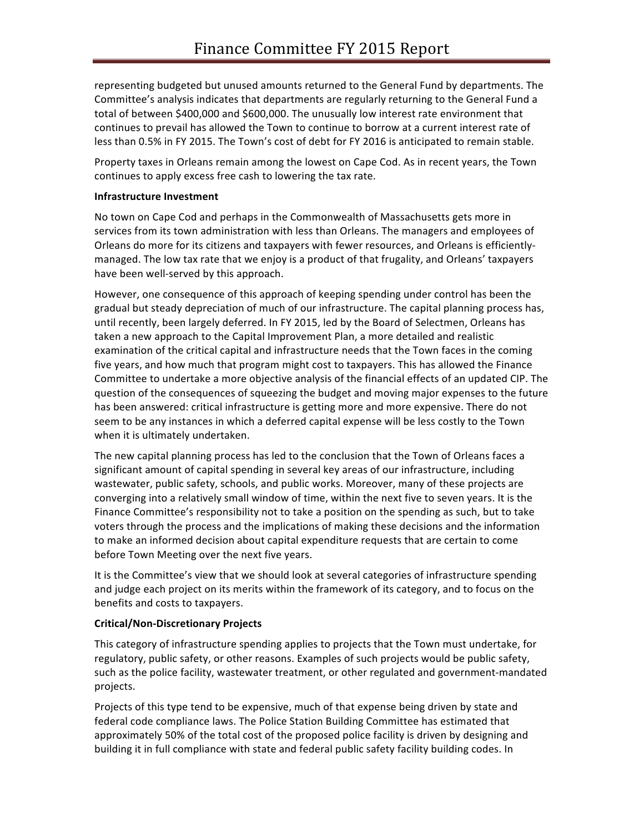representing budgeted but unused amounts returned to the General Fund by departments. The Committee's analysis indicates that departments are regularly returning to the General Fund a total of between \$400,000 and \$600,000. The unusually low interest rate environment that continues to prevail has allowed the Town to continue to borrow at a current interest rate of less than 0.5% in FY 2015. The Town's cost of debt for FY 2016 is anticipated to remain stable.

Property taxes in Orleans remain among the lowest on Cape Cod. As in recent years, the Town continues to apply excess free cash to lowering the tax rate.

### **Infrastructure Investment**

No town on Cape Cod and perhaps in the Commonwealth of Massachusetts gets more in services from its town administration with less than Orleans. The managers and employees of Orleans do more for its citizens and taxpayers with fewer resources, and Orleans is efficientlymanaged. The low tax rate that we enjoy is a product of that frugality, and Orleans' taxpayers have been well-served by this approach.

However, one consequence of this approach of keeping spending under control has been the gradual but steady depreciation of much of our infrastructure. The capital planning process has, until recently, been largely deferred. In FY 2015, led by the Board of Selectmen, Orleans has taken a new approach to the Capital Improvement Plan, a more detailed and realistic examination of the critical capital and infrastructure needs that the Town faces in the coming five years, and how much that program might cost to taxpayers. This has allowed the Finance Committee to undertake a more objective analysis of the financial effects of an updated CIP. The question of the consequences of squeezing the budget and moving major expenses to the future has been answered: critical infrastructure is getting more and more expensive. There do not seem to be any instances in which a deferred capital expense will be less costly to the Town when it is ultimately undertaken.

The new capital planning process has led to the conclusion that the Town of Orleans faces a significant amount of capital spending in several key areas of our infrastructure, including wastewater, public safety, schools, and public works. Moreover, many of these projects are converging into a relatively small window of time, within the next five to seven years. It is the Finance Committee's responsibility not to take a position on the spending as such, but to take voters through the process and the implications of making these decisions and the information to make an informed decision about capital expenditure requests that are certain to come before Town Meeting over the next five years.

It is the Committee's view that we should look at several categories of infrastructure spending and judge each project on its merits within the framework of its category, and to focus on the benefits and costs to taxpayers.

# **Critical/Non-Discretionary Projects**

This category of infrastructure spending applies to projects that the Town must undertake, for regulatory, public safety, or other reasons. Examples of such projects would be public safety, such as the police facility, wastewater treatment, or other regulated and government-mandated projects.

Projects of this type tend to be expensive, much of that expense being driven by state and federal code compliance laws. The Police Station Building Committee has estimated that approximately 50% of the total cost of the proposed police facility is driven by designing and building it in full compliance with state and federal public safety facility building codes. In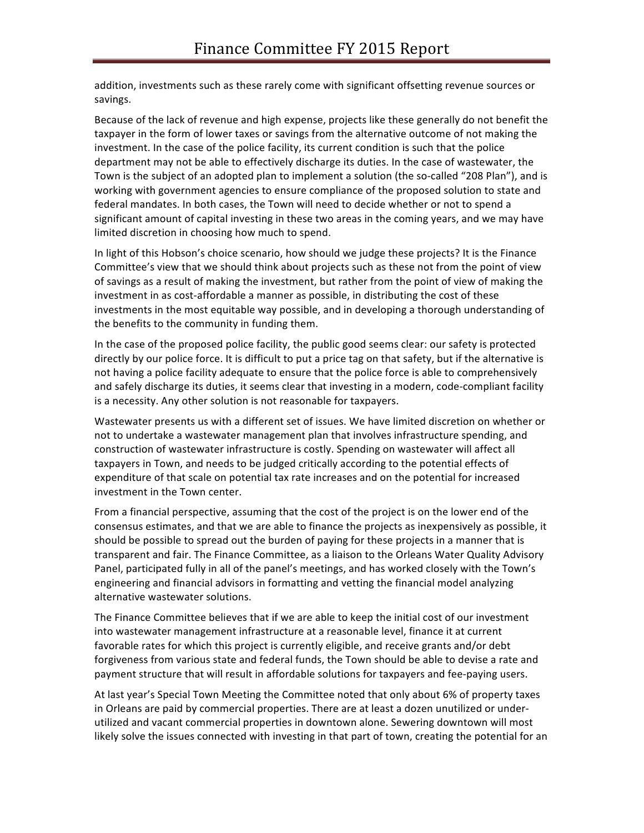addition, investments such as these rarely come with significant offsetting revenue sources or savings.

Because of the lack of revenue and high expense, projects like these generally do not benefit the taxpayer in the form of lower taxes or savings from the alternative outcome of not making the investment. In the case of the police facility, its current condition is such that the police department may not be able to effectively discharge its duties. In the case of wastewater, the Town is the subject of an adopted plan to implement a solution (the so-called "208 Plan"), and is working with government agencies to ensure compliance of the proposed solution to state and federal mandates. In both cases, the Town will need to decide whether or not to spend a significant amount of capital investing in these two areas in the coming years, and we may have limited discretion in choosing how much to spend.

In light of this Hobson's choice scenario, how should we judge these projects? It is the Finance Committee's view that we should think about projects such as these not from the point of view of savings as a result of making the investment, but rather from the point of view of making the investment in as cost-affordable a manner as possible, in distributing the cost of these investments in the most equitable way possible, and in developing a thorough understanding of the benefits to the community in funding them.

In the case of the proposed police facility, the public good seems clear: our safety is protected directly by our police force. It is difficult to put a price tag on that safety, but if the alternative is not having a police facility adequate to ensure that the police force is able to comprehensively and safely discharge its duties, it seems clear that investing in a modern, code-compliant facility is a necessity. Any other solution is not reasonable for taxpayers.

Wastewater presents us with a different set of issues. We have limited discretion on whether or not to undertake a wastewater management plan that involves infrastructure spending, and construction of wastewater infrastructure is costly. Spending on wastewater will affect all taxpayers in Town, and needs to be judged critically according to the potential effects of expenditure of that scale on potential tax rate increases and on the potential for increased investment in the Town center.

From a financial perspective, assuming that the cost of the project is on the lower end of the consensus estimates, and that we are able to finance the projects as inexpensively as possible, it should be possible to spread out the burden of paying for these projects in a manner that is transparent and fair. The Finance Committee, as a liaison to the Orleans Water Quality Advisory Panel, participated fully in all of the panel's meetings, and has worked closely with the Town's engineering and financial advisors in formatting and vetting the financial model analyzing alternative wastewater solutions.

The Finance Committee believes that if we are able to keep the initial cost of our investment into wastewater management infrastructure at a reasonable level, finance it at current favorable rates for which this project is currently eligible, and receive grants and/or debt forgiveness from various state and federal funds, the Town should be able to devise a rate and payment structure that will result in affordable solutions for taxpayers and fee-paying users.

At last year's Special Town Meeting the Committee noted that only about 6% of property taxes in Orleans are paid by commercial properties. There are at least a dozen unutilized or underutilized and vacant commercial properties in downtown alone. Sewering downtown will most likely solve the issues connected with investing in that part of town, creating the potential for an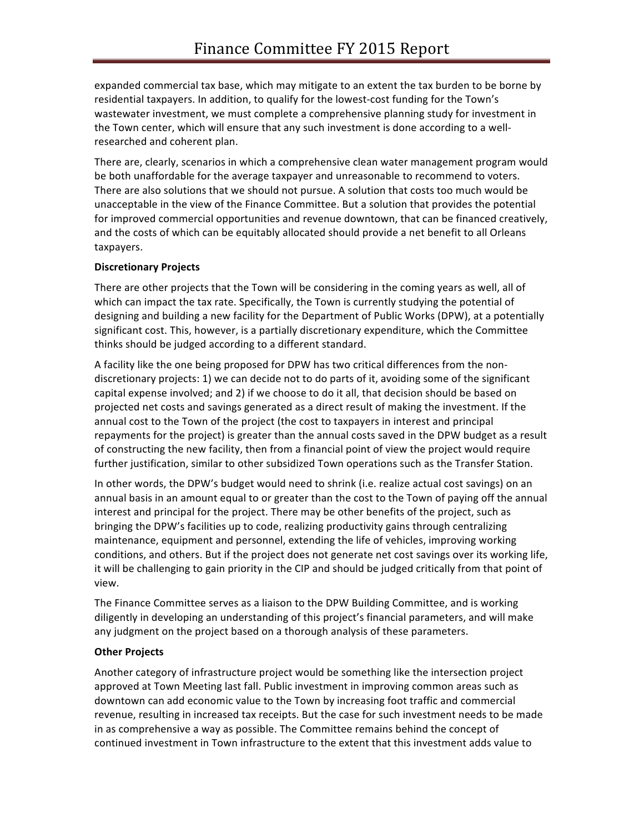expanded commercial tax base, which may mitigate to an extent the tax burden to be borne by residential taxpayers. In addition, to qualify for the lowest-cost funding for the Town's wastewater investment, we must complete a comprehensive planning study for investment in the Town center, which will ensure that any such investment is done according to a wellresearched and coherent plan.

There are, clearly, scenarios in which a comprehensive clean water management program would be both unaffordable for the average taxpayer and unreasonable to recommend to voters. There are also solutions that we should not pursue. A solution that costs too much would be unacceptable in the view of the Finance Committee. But a solution that provides the potential for improved commercial opportunities and revenue downtown, that can be financed creatively, and the costs of which can be equitably allocated should provide a net benefit to all Orleans taxpayers.

# **Discretionary Projects**

There are other projects that the Town will be considering in the coming years as well, all of which can impact the tax rate. Specifically, the Town is currently studying the potential of designing and building a new facility for the Department of Public Works (DPW), at a potentially significant cost. This, however, is a partially discretionary expenditure, which the Committee thinks should be judged according to a different standard.

A facility like the one being proposed for DPW has two critical differences from the nondiscretionary projects: 1) we can decide not to do parts of it, avoiding some of the significant capital expense involved; and 2) if we choose to do it all, that decision should be based on projected net costs and savings generated as a direct result of making the investment. If the annual cost to the Town of the project (the cost to taxpayers in interest and principal repayments for the project) is greater than the annual costs saved in the DPW budget as a result of constructing the new facility, then from a financial point of view the project would require further justification, similar to other subsidized Town operations such as the Transfer Station.

In other words, the DPW's budget would need to shrink (i.e. realize actual cost savings) on an annual basis in an amount equal to or greater than the cost to the Town of paying off the annual interest and principal for the project. There may be other benefits of the project, such as bringing the DPW's facilities up to code, realizing productivity gains through centralizing maintenance, equipment and personnel, extending the life of vehicles, improving working conditions, and others. But if the project does not generate net cost savings over its working life, it will be challenging to gain priority in the CIP and should be judged critically from that point of view.

The Finance Committee serves as a liaison to the DPW Building Committee, and is working diligently in developing an understanding of this project's financial parameters, and will make any judgment on the project based on a thorough analysis of these parameters.

# **Other Projects**

Another category of infrastructure project would be something like the intersection project approved at Town Meeting last fall. Public investment in improving common areas such as downtown can add economic value to the Town by increasing foot traffic and commercial revenue, resulting in increased tax receipts. But the case for such investment needs to be made in as comprehensive a way as possible. The Committee remains behind the concept of continued investment in Town infrastructure to the extent that this investment adds value to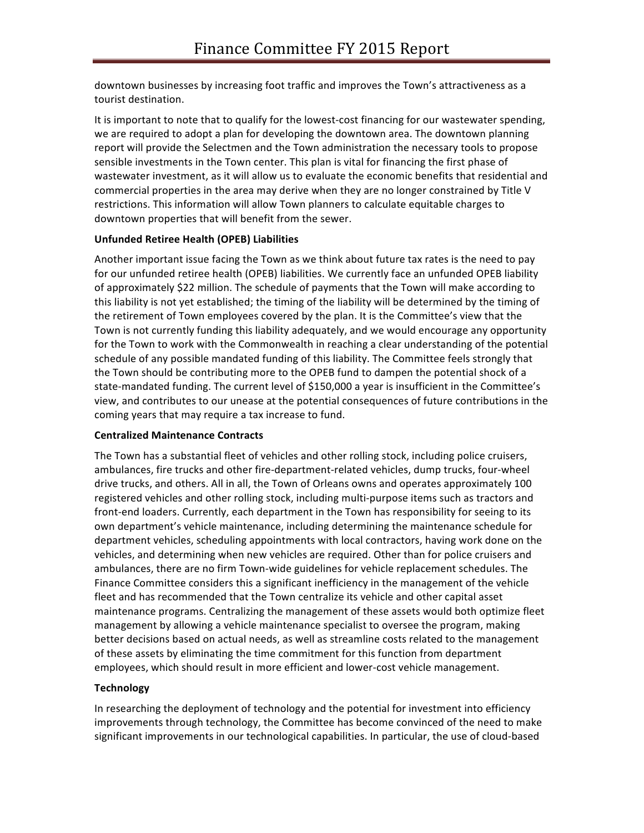downtown businesses by increasing foot traffic and improves the Town's attractiveness as a tourist destination.

It is important to note that to qualify for the lowest-cost financing for our wastewater spending, we are required to adopt a plan for developing the downtown area. The downtown planning report will provide the Selectmen and the Town administration the necessary tools to propose sensible investments in the Town center. This plan is vital for financing the first phase of wastewater investment, as it will allow us to evaluate the economic benefits that residential and commercial properties in the area may derive when they are no longer constrained by Title V restrictions. This information will allow Town planners to calculate equitable charges to downtown properties that will benefit from the sewer.

### **Unfunded Retiree Health (OPEB) Liabilities**

Another important issue facing the Town as we think about future tax rates is the need to pay for our unfunded retiree health (OPEB) liabilities. We currently face an unfunded OPEB liability of approximately \$22 million. The schedule of payments that the Town will make according to this liability is not yet established; the timing of the liability will be determined by the timing of the retirement of Town employees covered by the plan. It is the Committee's view that the Town is not currently funding this liability adequately, and we would encourage any opportunity for the Town to work with the Commonwealth in reaching a clear understanding of the potential schedule of any possible mandated funding of this liability. The Committee feels strongly that the Town should be contributing more to the OPEB fund to dampen the potential shock of a state-mandated funding. The current level of \$150,000 a year is insufficient in the Committee's view, and contributes to our unease at the potential consequences of future contributions in the coming years that may require a tax increase to fund.

### **Centralized Maintenance Contracts**

The Town has a substantial fleet of vehicles and other rolling stock, including police cruisers, ambulances, fire trucks and other fire-department-related vehicles, dump trucks, four-wheel drive trucks, and others. All in all, the Town of Orleans owns and operates approximately 100 registered vehicles and other rolling stock, including multi-purpose items such as tractors and front-end loaders. Currently, each department in the Town has responsibility for seeing to its own department's vehicle maintenance, including determining the maintenance schedule for department vehicles, scheduling appointments with local contractors, having work done on the vehicles, and determining when new vehicles are required. Other than for police cruisers and ambulances, there are no firm Town-wide guidelines for vehicle replacement schedules. The Finance Committee considers this a significant inefficiency in the management of the vehicle fleet and has recommended that the Town centralize its vehicle and other capital asset maintenance programs. Centralizing the management of these assets would both optimize fleet management by allowing a vehicle maintenance specialist to oversee the program, making better decisions based on actual needs, as well as streamline costs related to the management of these assets by eliminating the time commitment for this function from department employees, which should result in more efficient and lower-cost vehicle management.

# **Technology**

In researching the deployment of technology and the potential for investment into efficiency improvements through technology, the Committee has become convinced of the need to make significant improvements in our technological capabilities. In particular, the use of cloud-based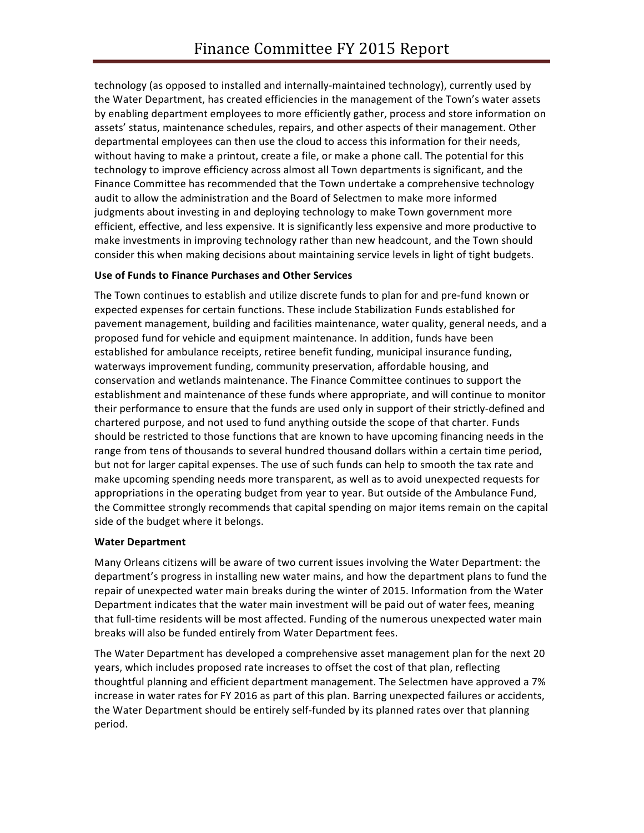technology (as opposed to installed and internally-maintained technology), currently used by the Water Department, has created efficiencies in the management of the Town's water assets by enabling department employees to more efficiently gather, process and store information on assets' status, maintenance schedules, repairs, and other aspects of their management. Other departmental employees can then use the cloud to access this information for their needs, without having to make a printout, create a file, or make a phone call. The potential for this technology to improve efficiency across almost all Town departments is significant, and the Finance Committee has recommended that the Town undertake a comprehensive technology audit to allow the administration and the Board of Selectmen to make more informed judgments about investing in and deploying technology to make Town government more efficient, effective, and less expensive. It is significantly less expensive and more productive to make investments in improving technology rather than new headcount, and the Town should consider this when making decisions about maintaining service levels in light of tight budgets.

# **Use of Funds to Finance Purchases and Other Services**

The Town continues to establish and utilize discrete funds to plan for and pre-fund known or expected expenses for certain functions. These include Stabilization Funds established for pavement management, building and facilities maintenance, water quality, general needs, and a proposed fund for vehicle and equipment maintenance. In addition, funds have been established for ambulance receipts, retiree benefit funding, municipal insurance funding, waterways improvement funding, community preservation, affordable housing, and conservation and wetlands maintenance. The Finance Committee continues to support the establishment and maintenance of these funds where appropriate, and will continue to monitor their performance to ensure that the funds are used only in support of their strictly-defined and chartered purpose, and not used to fund anything outside the scope of that charter. Funds should be restricted to those functions that are known to have upcoming financing needs in the range from tens of thousands to several hundred thousand dollars within a certain time period, but not for larger capital expenses. The use of such funds can help to smooth the tax rate and make upcoming spending needs more transparent, as well as to avoid unexpected requests for appropriations in the operating budget from year to year. But outside of the Ambulance Fund, the Committee strongly recommends that capital spending on major items remain on the capital side of the budget where it belongs.

### **Water Department**

Many Orleans citizens will be aware of two current issues involving the Water Department: the department's progress in installing new water mains, and how the department plans to fund the repair of unexpected water main breaks during the winter of 2015. Information from the Water Department indicates that the water main investment will be paid out of water fees, meaning that full-time residents will be most affected. Funding of the numerous unexpected water main breaks will also be funded entirely from Water Department fees.

The Water Department has developed a comprehensive asset management plan for the next 20 years, which includes proposed rate increases to offset the cost of that plan, reflecting thoughtful planning and efficient department management. The Selectmen have approved a 7% increase in water rates for FY 2016 as part of this plan. Barring unexpected failures or accidents, the Water Department should be entirely self-funded by its planned rates over that planning period.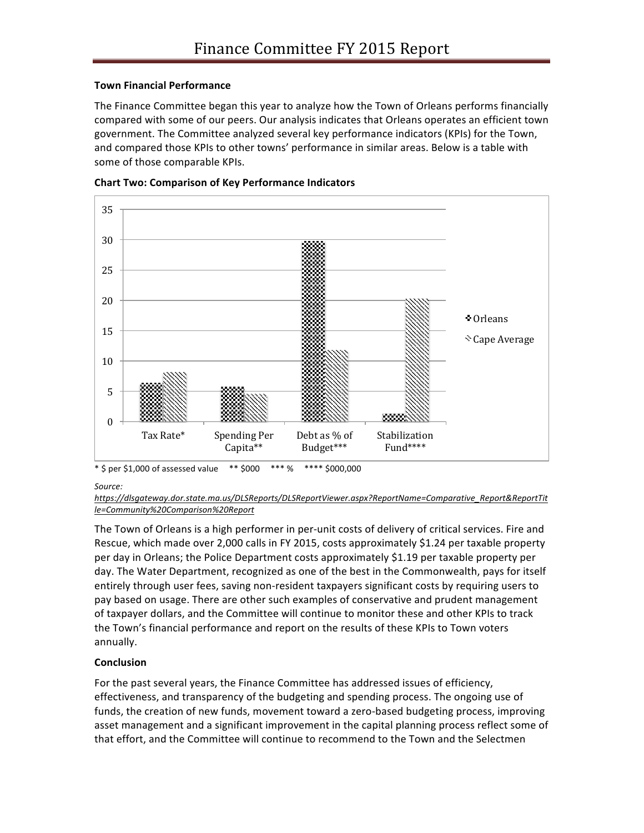# **Town Financial Performance**

The Finance Committee began this year to analyze how the Town of Orleans performs financially compared with some of our peers. Our analysis indicates that Orleans operates an efficient town government. The Committee analyzed several key performance indicators (KPIs) for the Town, and compared those KPIs to other towns' performance in similar areas. Below is a table with some of those comparable KPIs.





*Source:* 

The Town of Orleans is a high performer in per-unit costs of delivery of critical services. Fire and Rescue, which made over 2,000 calls in FY 2015, costs approximately \$1.24 per taxable property per day in Orleans; the Police Department costs approximately \$1.19 per taxable property per day. The Water Department, recognized as one of the best in the Commonwealth, pays for itself entirely through user fees, saving non-resident taxpayers significant costs by requiring users to pay based on usage. There are other such examples of conservative and prudent management of taxpayer dollars, and the Committee will continue to monitor these and other KPIs to track the Town's financial performance and report on the results of these KPIs to Town voters annually.

# **Conclusion**

For the past several years, the Finance Committee has addressed issues of efficiency, effectiveness, and transparency of the budgeting and spending process. The ongoing use of funds, the creation of new funds, movement toward a zero-based budgeting process, improving asset management and a significant improvement in the capital planning process reflect some of that effort, and the Committee will continue to recommend to the Town and the Selectmen

*https://dlsgateway.dor.state.ma.us/DLSReports/DLSReportViewer.aspx?ReportName=Comparative\_Report&ReportTit le=Community%20Comparison%20Report*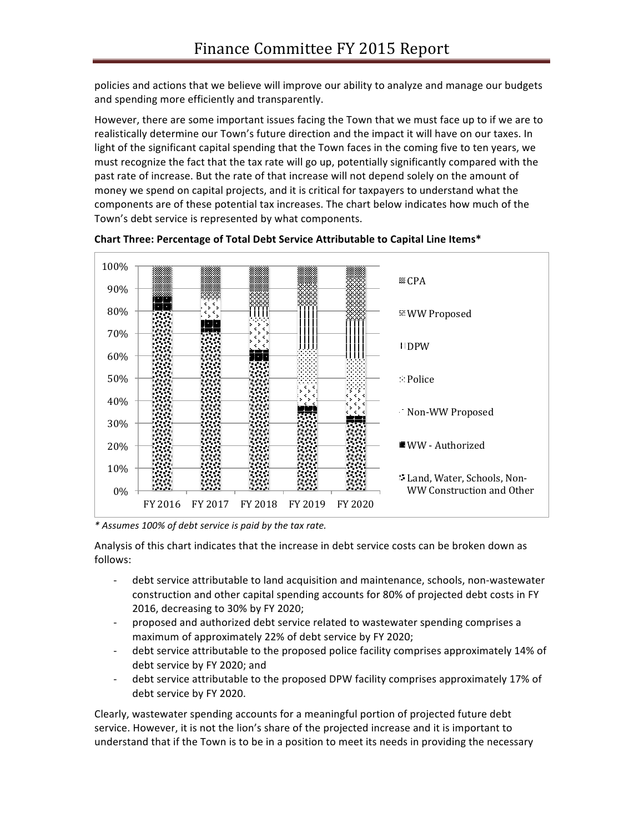policies and actions that we believe will improve our ability to analyze and manage our budgets and spending more efficiently and transparently.

However, there are some important issues facing the Town that we must face up to if we are to realistically determine our Town's future direction and the impact it will have on our taxes. In light of the significant capital spending that the Town faces in the coming five to ten years, we must recognize the fact that the tax rate will go up, potentially significantly compared with the past rate of increase. But the rate of that increase will not depend solely on the amount of money we spend on capital projects, and it is critical for taxpayers to understand what the components are of these potential tax increases. The chart below indicates how much of the Town's debt service is represented by what components.



**Chart Three: Percentage of Total Debt Service Attributable to Capital Line Items\*** 

*\* Assumes 100% of debt service is paid by the tax rate.*

Analysis of this chart indicates that the increase in debt service costs can be broken down as follows:

- debt service attributable to land acquisition and maintenance, schools, non-wastewater construction and other capital spending accounts for 80% of projected debt costs in FY 2016, decreasing to 30% by FY 2020;
- proposed and authorized debt service related to wastewater spending comprises a maximum of approximately 22% of debt service by FY 2020;
- debt service attributable to the proposed police facility comprises approximately 14% of debt service by FY 2020; and
- debt service attributable to the proposed DPW facility comprises approximately 17% of debt service by FY 2020.

Clearly, wastewater spending accounts for a meaningful portion of projected future debt service. However, it is not the lion's share of the projected increase and it is important to understand that if the Town is to be in a position to meet its needs in providing the necessary